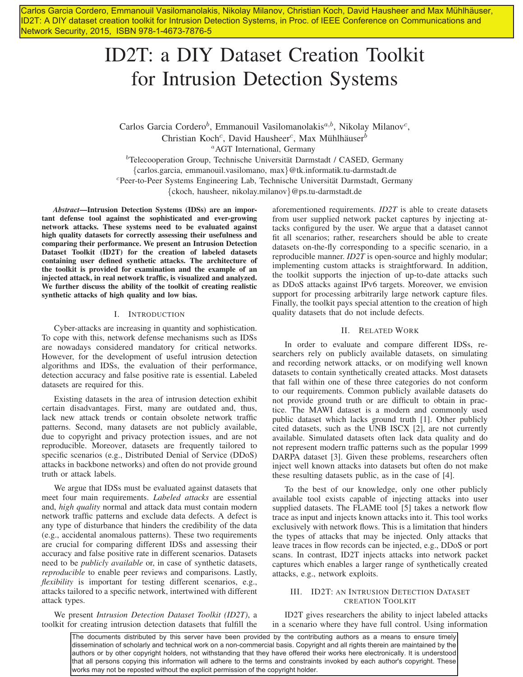Carlos Garcia Cordero, Emmanouil Vasilomanolakis, Nikolay Milanov, Christian Koch, David Hausheer and Max Mühlhäuser, ID2T: A DIY dataset creation toolkit for Intrusion Detection Systems, in Proc. of IEEE Conference on Communications and Network Security, 2015, ISBN 978-1-4673-7876-5

# ID2T: a DIY Dataset Creation Toolkit for Intrusion Detection Systems

Carlos Garcia Cordero<sup>b</sup>, Emmanouil Vasilomanolakis<sup>a,b</sup>, Nikolay Milanov<sup>c</sup>, Christian Koch<sup>c</sup>, David Hausheer<sup>c</sup>, Max Mühlhäuser<sup>b</sup> <sup>a</sup>AGT International, Germany  $b$ Telecooperation Group, Technische Universität Darmstadt / CASED, Germany

{carlos.garcia, emmanouil.vasilomano, max}@tk.informatik.tu-darmstadt.de <sup>c</sup>Peer-to-Peer Systems Engineering Lab, Technische Universität Darmstadt, Germany {ckoch, hausheer, nikolay.milanov}@ps.tu-darmstadt.de

*Abstract*—Intrusion Detection Systems (IDSs) are an important defense tool against the sophisticated and ever-growing network attacks. These systems need to be evaluated against high quality datasets for correctly assessing their usefulness and comparing their performance. We present an Intrusion Detection Dataset Toolkit (ID2T) for the creation of labeled datasets containing user defined synthetic attacks. The architecture of the toolkit is provided for examination and the example of an injected attack, in real network traffic, is visualized and analyzed. We further discuss the ability of the toolkit of creating realistic synthetic attacks of high quality and low bias.

# I. INTRODUCTION

Cyber-attacks are increasing in quantity and sophistication. To cope with this, network defense mechanisms such as IDSs are nowadays considered mandatory for critical networks. However, for the development of useful intrusion detection algorithms and IDSs, the evaluation of their performance, detection accuracy and false positive rate is essential. Labeled datasets are required for this.

Existing datasets in the area of intrusion detection exhibit certain disadvantages. First, many are outdated and, thus, lack new attack trends or contain obsolete network traffic patterns. Second, many datasets are not publicly available, due to copyright and privacy protection issues, and are not reproducible. Moreover, datasets are frequently tailored to specific scenarios (e.g., Distributed Denial of Service (DDoS) attacks in backbone networks) and often do not provide ground truth or attack labels.

We argue that IDSs must be evaluated against datasets that meet four main requirements. *Labeled attacks* are essential and, *high quality* normal and attack data must contain modern network traffic patterns and exclude data defects. A defect is any type of disturbance that hinders the credibility of the data (e.g., accidental anomalous patterns). These two requirements are crucial for comparing different IDSs and assessing their accuracy and false positive rate in different scenarios. Datasets need to be *publicly available* or, in case of synthetic datasets, *reproducible* to enable peer reviews and comparisons. Lastly, *flexibility* is important for testing different scenarios, e.g., attacks tailored to a specific network, intertwined with different attack types.

We present *Intrusion Detection Dataset Toolkit (ID2T)*, a toolkit for creating intrusion detection datasets that fulfill the aforementioned requirements. *ID2T* is able to create datasets from user supplied network packet captures by injecting attacks configured by the user. We argue that a dataset cannot fit all scenarios; rather, researchers should be able to create datasets on-the-fly corresponding to a specific scenario, in a reproducible manner. *ID2T* is open-source and highly modular; implementing custom attacks is straightforward. In addition, the toolkit supports the injection of up-to-date attacks such as DDoS attacks against IPv6 targets. Moreover, we envision support for processing arbitrarily large network capture files. Finally, the toolkit pays special attention to the creation of high quality datasets that do not include defects.

## II. RELATED WORK

In order to evaluate and compare different IDSs, researchers rely on publicly available datasets, on simulating and recording network attacks, or on modifying well known datasets to contain synthetically created attacks. Most datasets that fall within one of these three categories do not conform to our requirements. Common publicly available datasets do not provide ground truth or are difficult to obtain in practice. The MAWI dataset is a modern and commonly used public dataset which lacks ground truth [1]. Other publicly cited datasets, such as the UNB ISCX [2], are not currently available. Simulated datasets often lack data quality and do not represent modern traffic patterns such as the popular 1999 DARPA dataset [3]. Given these problems, researchers often inject well known attacks into datasets but often do not make these resulting datasets public, as in the case of [4].

To the best of our knowledge, only one other publicly available tool exists capable of injecting attacks into user supplied datasets. The FLAME tool [5] takes a network flow trace as input and injects known attacks into it. This tool works exclusively with network flows. This is a limitation that hinders the types of attacks that may be injected. Only attacks that leave traces in flow records can be injected, e.g., DDoS or port scans. In contrast, ID2T injects attacks into network packet captures which enables a larger range of synthetically created attacks, e.g., network exploits.

# III. ID2T: AN INTRUSION DETECTION DATASET CREATION TOOLKIT

ID2T gives researchers the ability to inject labeled attacks in a scenario where they have full control. Using information

The documents distributed by this server have been provided by the contributing authors as a means to ensure timely dissemination of scholarly and technical work on a non-commercial basis. Copyright and all rights therein are maintained by the authors or by other copyright holders, not withstanding that they have offered their works here electronically. It is understood that all persons copying this information will adhere to the terms and constraints invoked by each author's copyright. These works may not be reposted without the explicit permission of the copyright holder.